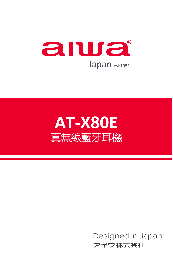



Designed in Japan アイワ株式会社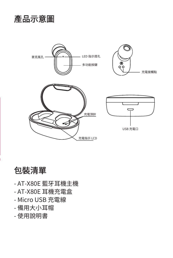



包裝清單

- AT-X80E 藍牙耳機主機 - AT-X80E 耳機充電盒 - Micro USB 充電線 - 備用大小耳帽 - 使用說明書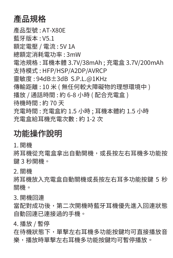## 產品規格

產品型號 : AT-X80E 藍牙版本 : V5.1 額定電壓 / 電流 : 5V 1A 總額定消耗電功率 : 3mW 電池規格 : 耳機本體 3.7V/38mAh ; 充電盒 3.7V/200mAh 支持模式 : HFP/HSP/A2DP/AVRCP 靈敏度 : 94dB±3dB S.P.L.@1KHz 傳輸距離 : 10 米 ( 無任何較大障礙物的理想環境中 ) 播放 / 通話時間 : 約 6-8 小時 ( 配合充電盒 ) 待機時間 : 約 70 天 充電時間 : 充電盒約 1.5 小時 ; 耳機本體約 1.5 小時 充電盒給耳機充電次數 : 約 1-2 次

#### 功能操作說明

1. 開機

將耳機從充電盒拿出自動開機,或長按左右耳機多功能按 鍵 3 秒開機。

2. 關機

將耳機放入充電盒自動關機或長按左右耳多功能按鍵 5 秒 關機。

3. 開機回連

當配對成功後,第二次開機時藍牙耳機優先進入回連狀態 自動回連已連接過的手機。

4. 播放 / 暫停

在待機狀態下,單擊左右耳機多功能按鍵均可直接播放音 樂,播放時單擊左右耳機多功能按鍵均可暫停播放。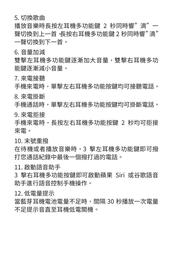5. 切換歌曲

播放音樂時長按左耳機多功能鍵 2 秒同時響" 滴" 一 聲切換到上一首,長按右耳機多功能鍵 2 秒同時響" 滴" 一聲切換到下一首。

6. 音量加減

雙擊左耳機多功能鍵逐漸加大音量,雙擊右耳機多功 能鍵逐漸減小音量。

7. 來電接聽

手機來雷時,單擊左右耳機多功能按鍵均可接聽雷話。

8. 來電掛斷

手機通話時,單擊左右耳機多功能按鍵均可掛斷電話。

9. 來電拒接

手機來雷時,長按左右耳機多功能按鍵 2 秒均可拒接 來電。

10. 末號重撥

在待機或者播放音樂時,3 擊左耳機多功能鍵即可撥 打您通話紀錄中最後一個撥打過的電話。

11. 啟動語音助手

3 擊右耳機多功能按鍵即可啟動蘋果 Siri 或谷歌語音 助手進行語音控制手機操作。

12. 低電量提示

當藍芽耳機電池電量不足時,間隔 30 秒播放一次電量 不足提示音直至耳機低電關機。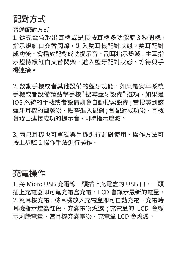## 配對方式

普通配對方式

1. 從充電盒取出耳機或是長按耳機多功能鍵 3 秒開機, 指示燈紅白交替閃爍,進入雙耳機配對狀態。雙耳配對 成功後,會播放配對成功提示音,副耳指示燈滅,主耳指 示燈持續紅白交替閃爍,進入藍牙配對狀態,等待與手 機連接。

2. 啟動手機或者其他設備的藍牙功能,如果是安卓系統 手機或者設備請點擊手機" 搜尋藍牙設備" 選項,如果是 IOS 系統的手機或者設備則會自動搜索設備 ; 當搜尋到該 藍牙耳機的型號後,點擊進入配對 ; 當配對成功後,耳機 會發出連接成功的提示音, 同時指示燈滅。

3. 兩只耳機也可單獨與手機進行配對使用,操作方法可 按上步驟 2 操作手法進行操作。

#### 充電操作

1. 將 Micro USB 充電線一頭插上充電盒的 USB 口,一頭 插上充電器即可幫充電盒充電,LCD 會顯示最新的電量。 2. 幫耳機充電 : 將耳機放入充電盒即可自動充電,充電時 耳機指示燈為紅色,充滿電後熄滅 ; 充電盒的 LCD 會顯 示剩餘電量,當耳機充滿電後,充電盒 LCD 會熄滅。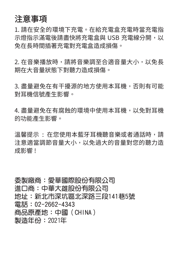#### 注意事項

1. 請在安全的環境下充電。在給充電盒充電時當充電指 示燈指示滿電後請盡快將充電盒與 USB 充電線分開,以 免在長時間插著充電對充電盒造成損傷。

2. 在音樂播放時,請將音樂調至合適音量大小,以免長 期在大音量狀態下對聽力造成損傷。

3. 盡量避免在有干擾源的地方使用本耳機,否則有可能 對耳機信號產生影響。

4. 盡量避免在有腐蝕的環境中使用本耳機,以免對耳機 的功能產生影響。

溫馨提示 : 在您使用本藍牙耳機聽音樂或者通話時,請 注意適當調節音量大小,以免過大的音量對您的聽力造 成影響 !

委製廠商:愛華國際股份有限公司 進口商:中華大雄股份有限公司 地址:新北市深坑區北深路三段141巷5號 電話: 02-2662-4343 商品原產地:中國 (CHINA) 製浩年份: 2021年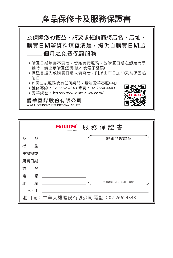# 產品保修卡及服務保證書



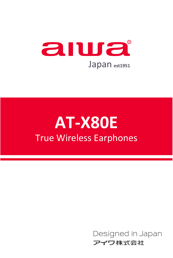

# **AT-X80E** True Wireless Earphones

Designed in Japan アイワ株式会社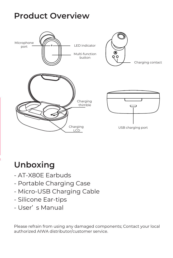# **Product Overview**



# **Unboxing**

- AT-X80E Earbuds
- Portable Charging Case
- Micro-USB Charging Cable
- Silicone Ear-tips
- User' s Manual

Please refrain from using any damaged components; Contact your local authorized AIWA distributor/customer service.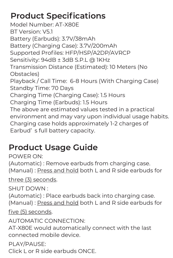# **Product Specifications**

Model Number: AT-X80E BT Version: V5.1 Battery (Earbuds): 3.7V/38mAh Battery (Charging Case): 3.7V/200mAh Supported Profiles: HFP/HSP/A2DP/AVRCP Sensitivity: 94dB ± 3dB S.P.L @ 1KHz Transmission Distance (Estimated): 10 Meters (No Obstacles) Playback / Call Time: 6-8 Hours (With Charging Case) Standby Time: 70 Days Charging Time (Charging Case): 1.5 Hours Charging Time (Earbuds): 1.5 Hours The above are estimated values tested in a practical environment and may vary upon individual usage habits. Charging case holds approximately 1-2 charges of Earbud' s full battery capacity.

# **Product Usage Guide**

POWER ON: (Automatic) : Remove earbuds from charging case. (Manual) : Press and hold both L and R side earbuds for

three (3) seconds.

SHUT DOWN : (Automatic) : Place earbuds back into charging case. (Manual) : Press and hold both L and R side earbuds for

#### five (5) seconds.

AUTOMATIC CONNECTION: AT-X80E would automatically connect with the last connected mobile device.

PLAY/PAUSE:

Click L or R side earbuds ONCE.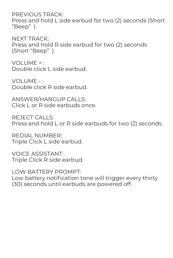PREVIOUS TRACK: Press and hold L side earbud for two (2) seconds (Short "Beep" ).

NEXT TRACK: Press and hold R side earbud for two (2) seconds (Short "Beep" ).

VOLUME + : Double click L side earbud.

VOLUME - : Double click R side earbud.

ANSWER/HANGUP CALLS: Click L or R side earbuds once.

REJECT CALLS: Press and hold L or R side earbuds for two (2) seconds.

REDIAL NUMBER: Triple Click L side earbud.

VOICE ASSISTANT: Triple Click R side earbud.

LOW BATTERY PROMPT: Low battery notification tone will trigger every thirty (30) seconds until earbuds are powered off.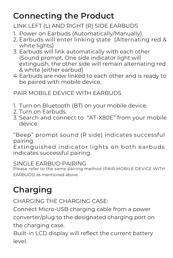# **Connecting the Product**

LINK LEFT (L) AND RIGHT (R) SIDE EARBUDS

- 1. Power on Earbuds (Automatically/Manually).
- Earbuds will enter linking state (Alternating red & 2. white lights)
- 3. Earbuds will link automatically with each other (Sound prompt, One side indicator light will extinguish, the other side will remain alternating red & white (either earbud)
- 4. Earbuds are now linked to each other and is ready to be paired with mobile device.

PAIR MOBILE DEVICE WITH EARBUDS

- 1. Turn on Bluetooth (BT) on your mobile device.
- 2. Turn on Earbuds.
- Search and connect to "AT-X80E" from your mobile 3. device.

"Beep" prompt sound (R side) indicates successful pairing.

Extinguished indicator lights on both earbuds indicates successful pairing.

SINGLE EARBUD PAIRING

Please refer to the same pairing method (PAIR MOBILE DEVICE WITH EARBUDS) as mentioned above.

# **Charging**

CHARGING THE CHARGING CASE:

Connect Micro-USB charging cable from a power converter/plug to the designated charging port on the charging case.

Built-in LCD display will reflect the current battery level.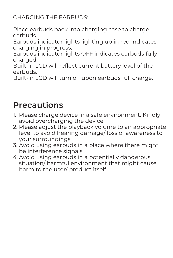CHARGING THE EARBUDS:

Place earbuds back into charging case to charge earbuds.

Earbuds indicator lights lighting up in red indicates charging in progress.

Earbuds indicator lights OFF indicates earbuds fully charged.

Built-in LCD will reflect current battery level of the earbuds.

Built-in LCD will turn off upon earbuds full charge.

## **Precautions**

- 1. Please charge device in a safe environment. Kindly avoid overcharging the device.
- 2. Please adjust the playback volume to an appropriate level to avoid hearing damage/ loss of awareness to your surroundings.
- 3. Avoid using earbuds in a place where there might be interference signals.
- 4. Avoid using earbuds in a potentially dangerous situation/ harmful environment that might cause harm to the user/ product itself.